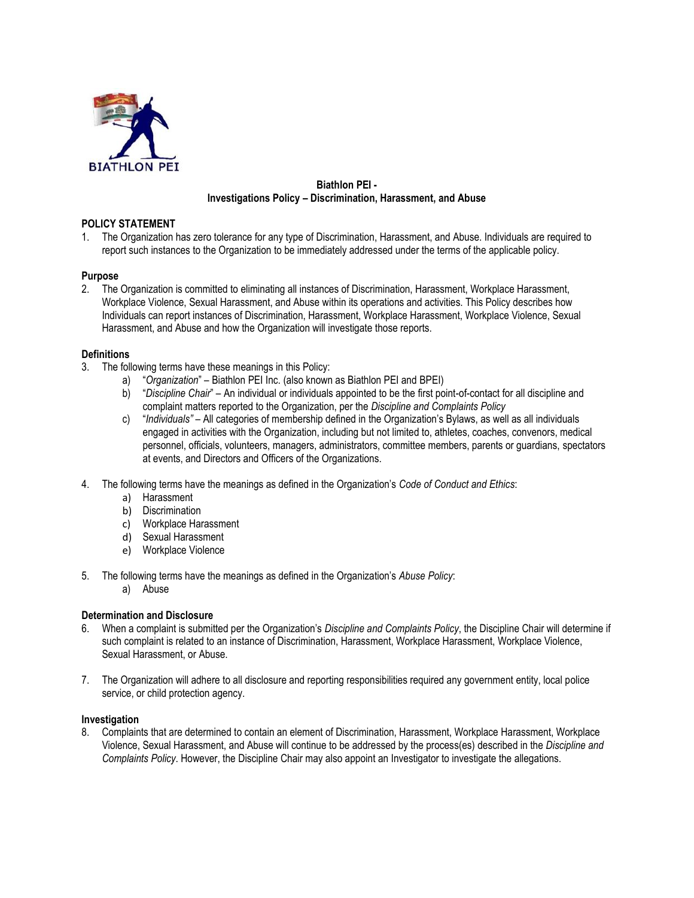

# **Biathlon PEI - Investigations Policy – Discrimination, Harassment, and Abuse**

## **POLICY STATEMENT**

1. The Organization has zero tolerance for any type of Discrimination, Harassment, and Abuse. Individuals are required to report such instances to the Organization to be immediately addressed under the terms of the applicable policy.

## **Purpose**

2. The Organization is committed to eliminating all instances of Discrimination, Harassment, Workplace Harassment, Workplace Violence, Sexual Harassment, and Abuse within its operations and activities. This Policy describes how Individuals can report instances of Discrimination, Harassment, Workplace Harassment, Workplace Violence, Sexual Harassment, and Abuse and how the Organization will investigate those reports.

## **Definitions**

- 3. The following terms have these meanings in this Policy:
	- a) "*Organization*" Biathlon PEI Inc. (also known as Biathlon PEI and BPEI)
	- b) "*Discipline Chair*" An individual or individuals appointed to be the first point-of-contact for all discipline and complaint matters reported to the Organization, per the *Discipline and Complaints Policy*
	- c) "*Individuals"* All categories of membership defined in the Organization's Bylaws, as well as all individuals engaged in activities with the Organization, including but not limited to, athletes, coaches, convenors, medical personnel, officials, volunteers, managers, administrators, committee members, parents or guardians, spectators at events, and Directors and Officers of the Organizations.
- 4. The following terms have the meanings as defined in the Organization's *Code of Conduct and Ethics*:
	- a) Harassment
	- b) Discrimination
	- c) Workplace Harassment
	- d) Sexual Harassment
	- e) Workplace Violence
- 5. The following terms have the meanings as defined in the Organization's *Abuse Policy*:
	- a) Abuse

### **Determination and Disclosure**

- 6. When a complaint is submitted per the Organization's *Discipline and Complaints Policy*, the Discipline Chair will determine if such complaint is related to an instance of Discrimination, Harassment, Workplace Harassment, Workplace Violence, Sexual Harassment, or Abuse.
- 7. The Organization will adhere to all disclosure and reporting responsibilities required any government entity, local police service, or child protection agency.

### **Investigation**

8. Complaints that are determined to contain an element of Discrimination, Harassment, Workplace Harassment, Workplace Violence, Sexual Harassment, and Abuse will continue to be addressed by the process(es) described in the *Discipline and Complaints Policy*. However, the Discipline Chair may also appoint an Investigator to investigate the allegations.